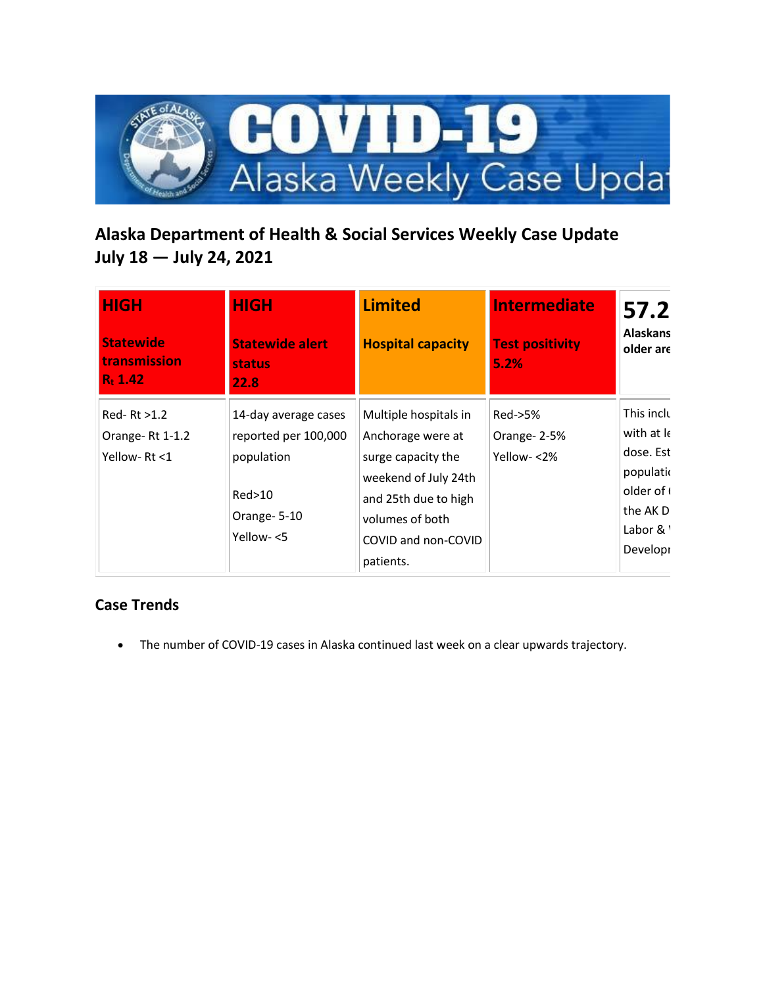

# **Alaska Department of Health & Social Services Weekly Case Update July 18 — July 24, 2021**

| <b>HIGH</b>                                    | <b>HIGH</b>                                     | <b>Limited</b>           | <b>Intermediate</b>            | 57.2                         |
|------------------------------------------------|-------------------------------------------------|--------------------------|--------------------------------|------------------------------|
| <b>Statewide</b><br>transmission<br>$R_1$ 1.42 | <b>Statewide alert</b><br><b>status</b><br>22.8 | <b>Hospital capacity</b> | <b>Test positivity</b><br>5.2% | <b>Alaskans</b><br>older are |
| $Red-RL > 1.2$                                 | 14-day average cases                            | Multiple hospitals in    | Red->5%                        | This inclu                   |
| Orange-Rt 1-1.2                                | reported per 100,000                            | Anchorage were at        | Orange-2-5%                    | with at le                   |
| Yellow-Rt <1                                   | population                                      | surge capacity the       | Yellow-<2%                     | dose. Est                    |
|                                                |                                                 | weekend of July 24th     |                                | populatio                    |
|                                                | Red>10                                          | and 25th due to high     |                                | older of (                   |
|                                                | Orange-5-10                                     | volumes of both          |                                | the AK D                     |
|                                                | Yellow-<5                                       | COVID and non-COVID      |                                | Labor & \                    |
|                                                |                                                 | patients.                |                                | Developr                     |

### **Case Trends**

• The number of COVID-19 cases in Alaska continued last week on a clear upwards trajectory.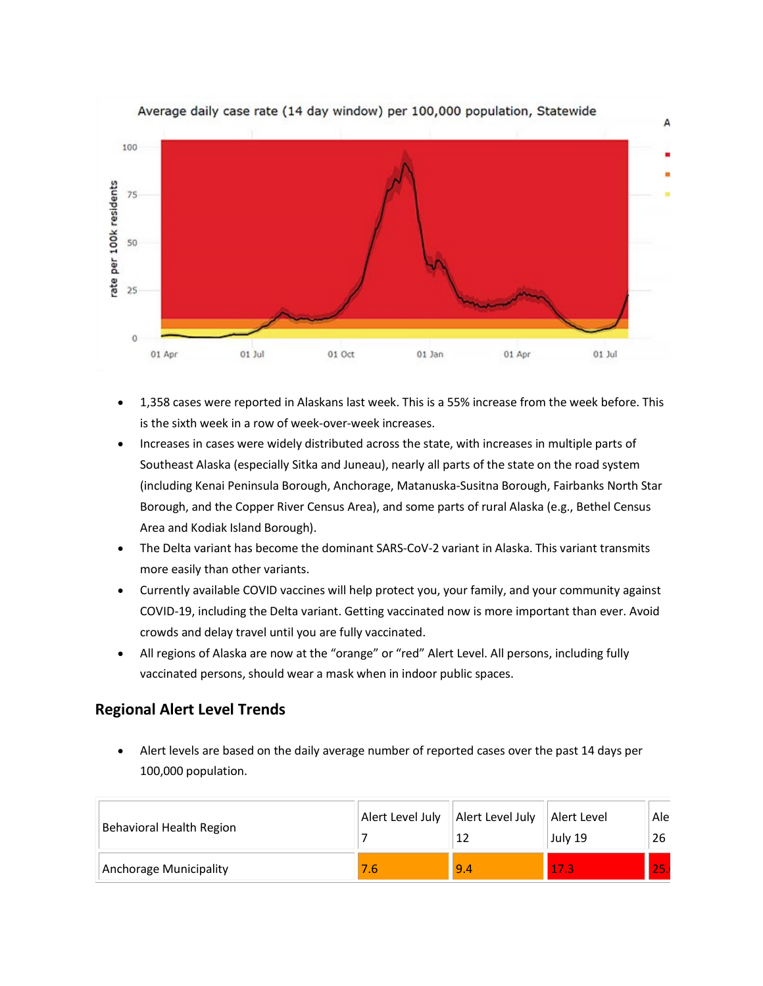

- 1,358 cases were reported in Alaskans last week. This is a 55% increase from the week before. This is the sixth week in a row of week-over-week increases.
- Increases in cases were widely distributed across the state, with increases in multiple parts of Southeast Alaska (especially Sitka and Juneau), nearly all parts of the state on the road system (including Kenai Peninsula Borough, Anchorage, Matanuska-Susitna Borough, Fairbanks North Star Borough, and the Copper River Census Area), and some parts of rural Alaska (e.g., Bethel Census Area and Kodiak Island Borough).
- The Delta variant has become the dominant SARS-CoV-2 variant in Alaska. This variant transmits more easily than other variants.
- Currently available COVID vaccines will help protect you, your family, and your community against COVID-19, including the Delta variant. Getting vaccinated now is more important than ever. Avoid crowds and delay travel until you are fully vaccinated.
- All regions of Alaska are now at the "orange" or "red" Alert Level. All persons, including fully vaccinated persons, should wear a mask when in indoor public spaces.

### **Regional Alert Level Trends**

• Alert levels are based on the daily average number of reported cases over the past 14 days per 100,000 population.

| Behavioral Health Region | Alert Level July | Alert Level July | Alert Level<br>July 19 | Ale<br>26 |
|--------------------------|------------------|------------------|------------------------|-----------|
| Anchorage Municipality   |                  | 9.4              | 75                     | 25        |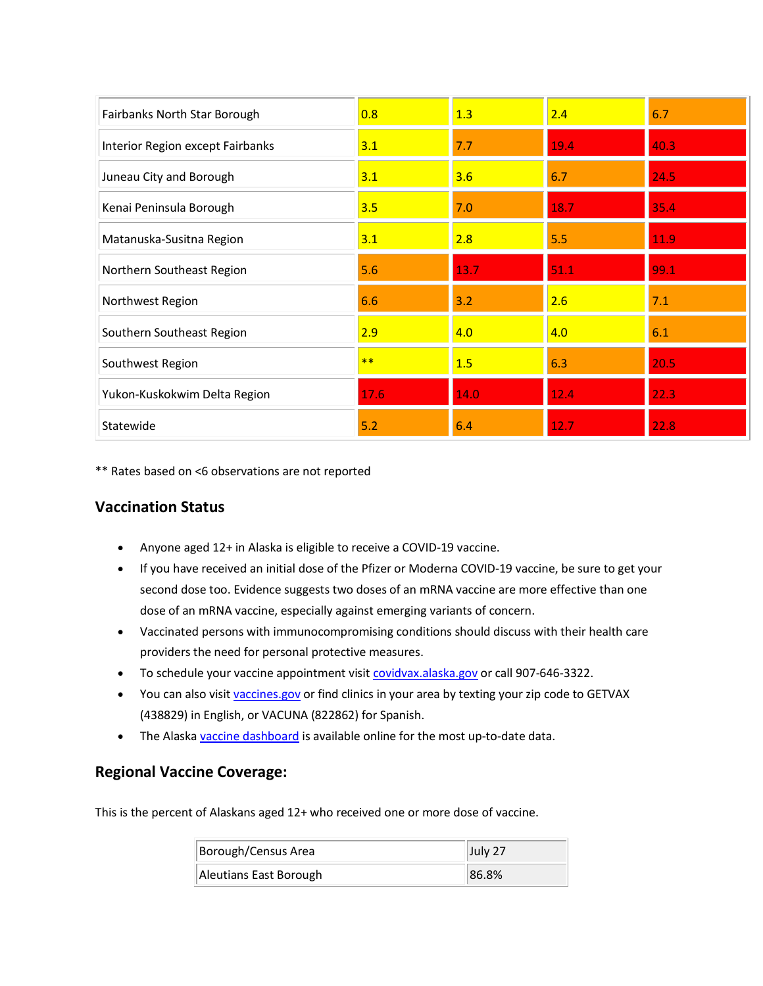| Fairbanks North Star Borough     | 0.8  | 1.3  | 2.4  | 6.7  |
|----------------------------------|------|------|------|------|
| Interior Region except Fairbanks | 3.1  | 7.7  | 19.4 | 40.3 |
| Juneau City and Borough          | 3.1  | 3.6  | 6.7  | 24.5 |
| Kenai Peninsula Borough          | 3.5  | 7.0  | 18.7 | 35.4 |
| Matanuska-Susitna Region         | 3.1  | 2.8  | 5.5  | 11.9 |
| Northern Southeast Region        | 5.6  | 13.7 | 51.1 | 99.1 |
| Northwest Region                 | 6.6  | 3.2  | 2.6  | 7.1  |
| Southern Southeast Region        | 2.9  | 4.0  | 4.0  | 6.1  |
| Southwest Region                 | $**$ | 1.5  | 6.3  | 20.5 |
| Yukon-Kuskokwim Delta Region     | 17.6 | 14.0 | 12.4 | 22.3 |
| Statewide                        | 5.2  | 6.4  | 12.7 | 22.8 |

\*\* Rates based on <6 observations are not reported

#### **Vaccination Status**

- Anyone aged 12+ in Alaska is eligible to receive a COVID-19 vaccine.
- If you have received an initial dose of the Pfizer or Moderna COVID-19 vaccine, be sure to get your second dose too. Evidence suggests two doses of an mRNA vaccine are more effective than one dose of an mRNA vaccine, especially against emerging variants of concern.
- Vaccinated persons with immunocompromising conditions should discuss with their health care providers the need for personal protective measures.
- To schedule your vaccine appointment visi[t covidvax.alaska.gov](https://lnks.gd/l/eyJhbGciOiJIUzI1NiJ9.eyJidWxsZXRpbl9saW5rX2lkIjoxMDAsInVyaSI6ImJwMjpjbGljayIsImJ1bGxldGluX2lkIjoiMjAyMTA3MjguNDM4Mjc5OTEiLCJ1cmwiOiJodHRwOi8vY292aWR2YXguYWxhc2thLmdvdi8ifQ.sgYSW2YJKbWnTyby2Vtsk64B7OelGBeUFkOHDlOxVS8/s/1125523096/br/110060109043-l) or call 907-646-3322.
- You can also visi[t vaccines.gov](https://lnks.gd/l/eyJhbGciOiJIUzI1NiJ9.eyJidWxsZXRpbl9saW5rX2lkIjoxMDEsInVyaSI6ImJwMjpjbGljayIsImJ1bGxldGluX2lkIjoiMjAyMTA3MjguNDM4Mjc5OTEiLCJ1cmwiOiJodHRwczovL3d3dy52YWNjaW5lcy5nb3YvIn0.fhVDgDu5x9OUI83W4ZdhRXk0E-e067Kqo7muvbJbNsU/s/1125523096/br/110060109043-l) or find clinics in your area by texting your zip code to GETVAX (438829) in English, or VACUNA (822862) for Spanish.
- The Alask[a vaccine dashboard](https://lnks.gd/l/eyJhbGciOiJIUzI1NiJ9.eyJidWxsZXRpbl9saW5rX2lkIjoxMDIsInVyaSI6ImJwMjpjbGljayIsImJ1bGxldGluX2lkIjoiMjAyMTA3MjguNDM4Mjc5OTEiLCJ1cmwiOiJodHRwczovL2V4cGVyaWVuY2UuYXJjZ2lzLmNvbS9leHBlcmllbmNlL2IyZjVhMTA1YTQxYzRjYTg4MDI0ZWZiYzJjMmU4NjhmLyJ9.8iujtpVBHNzOacbobNvvVYN9LbDFfWY5IzZJ2zxMfIU/s/1125523096/br/110060109043-l) is available online for the most up-to-date data.

#### **Regional Vaccine Coverage:**

This is the percent of Alaskans aged 12+ who received one or more dose of vaccine.

| Borough/Census Area    | July 27 |
|------------------------|---------|
| Aleutians East Borough | 86.8%   |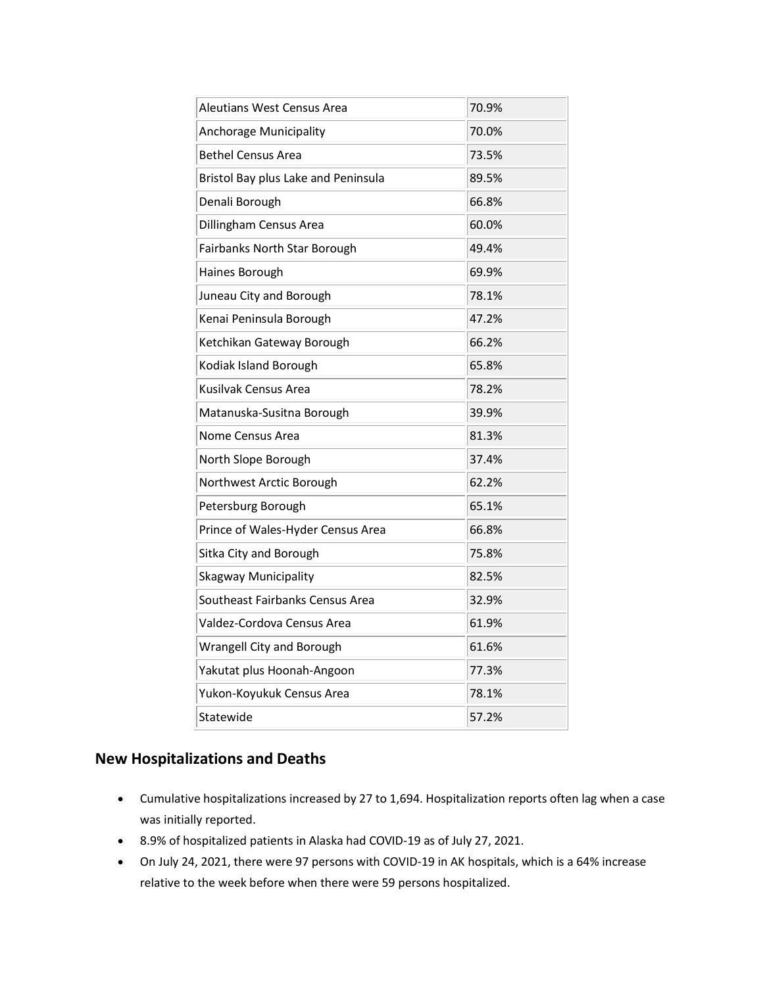| Aleutians West Census Area          | 70.9% |
|-------------------------------------|-------|
| Anchorage Municipality              | 70.0% |
| <b>Bethel Census Area</b>           | 73.5% |
| Bristol Bay plus Lake and Peninsula | 89.5% |
| Denali Borough                      | 66.8% |
| Dillingham Census Area              | 60.0% |
| Fairbanks North Star Borough        | 49.4% |
| Haines Borough                      | 69.9% |
| Juneau City and Borough             | 78.1% |
| Kenai Peninsula Borough             | 47.2% |
| Ketchikan Gateway Borough           | 66.2% |
| Kodiak Island Borough               | 65.8% |
| Kusilvak Census Area                | 78.2% |
| Matanuska-Susitna Borough           | 39.9% |
| Nome Census Area                    | 81.3% |
| North Slope Borough                 | 37.4% |
| Northwest Arctic Borough            | 62.2% |
| Petersburg Borough                  | 65.1% |
| Prince of Wales-Hyder Census Area   | 66.8% |
| Sitka City and Borough              | 75.8% |
| Skagway Municipality                | 82.5% |
| Southeast Fairbanks Census Area     | 32.9% |
| Valdez-Cordova Census Area          | 61.9% |
| Wrangell City and Borough           | 61.6% |
| Yakutat plus Hoonah-Angoon          | 77.3% |
| Yukon-Koyukuk Census Area           | 78.1% |
| Statewide                           | 57.2% |

#### **New Hospitalizations and Deaths**

- Cumulative hospitalizations increased by 27 to 1,694. Hospitalization reports often lag when a case was initially reported.
- 8.9% of hospitalized patients in Alaska had COVID-19 as of July 27, 2021.
- On July 24, 2021, there were 97 persons with COVID-19 in AK hospitals, which is a 64% increase relative to the week before when there were 59 persons hospitalized.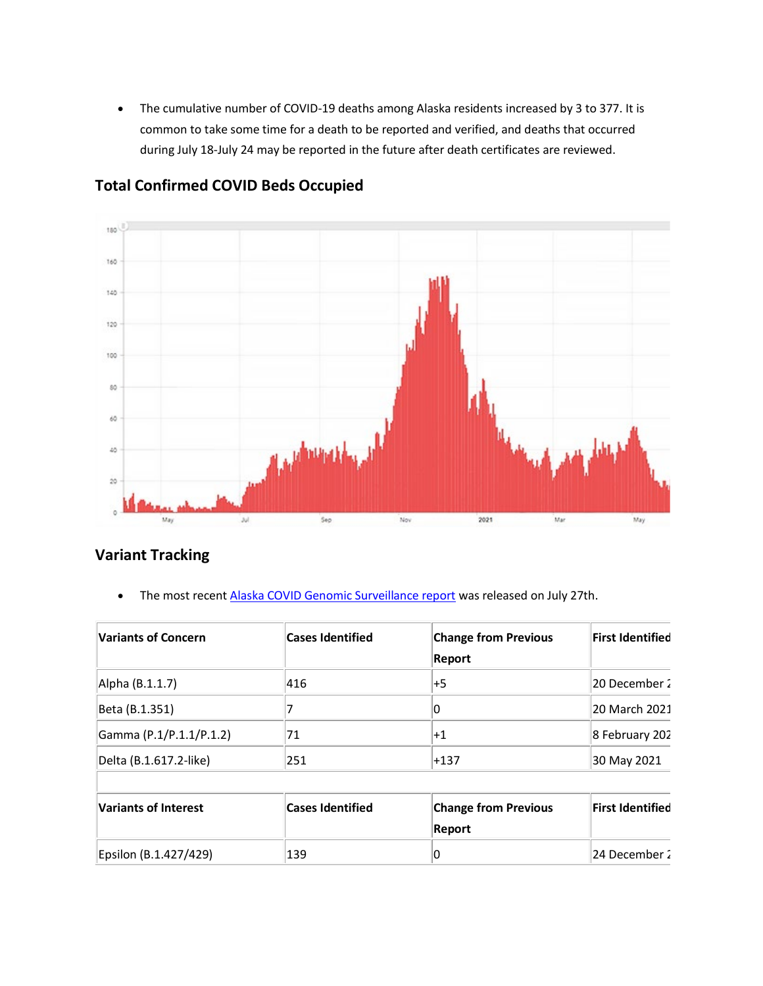• The cumulative number of COVID-19 deaths among Alaska residents increased by 3 to 377. It is common to take some time for a death to be reported and verified, and deaths that occurred during July 18-July 24 may be reported in the future after death certificates are reviewed.



#### **Total Confirmed COVID Beds Occupied**

### **Variant Tracking**

• The most recent **Alaska COVID Genomic Surveillance report** was released on July 27th.

| <b>Variants of Concern</b>  | <b>Cases Identified</b> | <b>Change from Previous</b><br>Report | <b>First Identified</b> |
|-----------------------------|-------------------------|---------------------------------------|-------------------------|
| Alpha (B.1.1.7)             | 416                     | +5                                    | 20 December 2           |
| Beta (B.1.351)              |                         | 0                                     | 20 March 2021           |
| Gamma (P.1/P.1.1/P.1.2)     | 71                      | $^{\mathrm {+1}}$                     | 8 February 202          |
| Delta (B.1.617.2-like)      | 251                     | $+137$                                | 30 May 2021             |
| <b>Variants of Interest</b> | <b>Cases Identified</b> | <b>Change from Previous</b><br>Report | First Identified        |
| Epsilon (B.1.427/429)       | 139                     | 0                                     | 24 December 2           |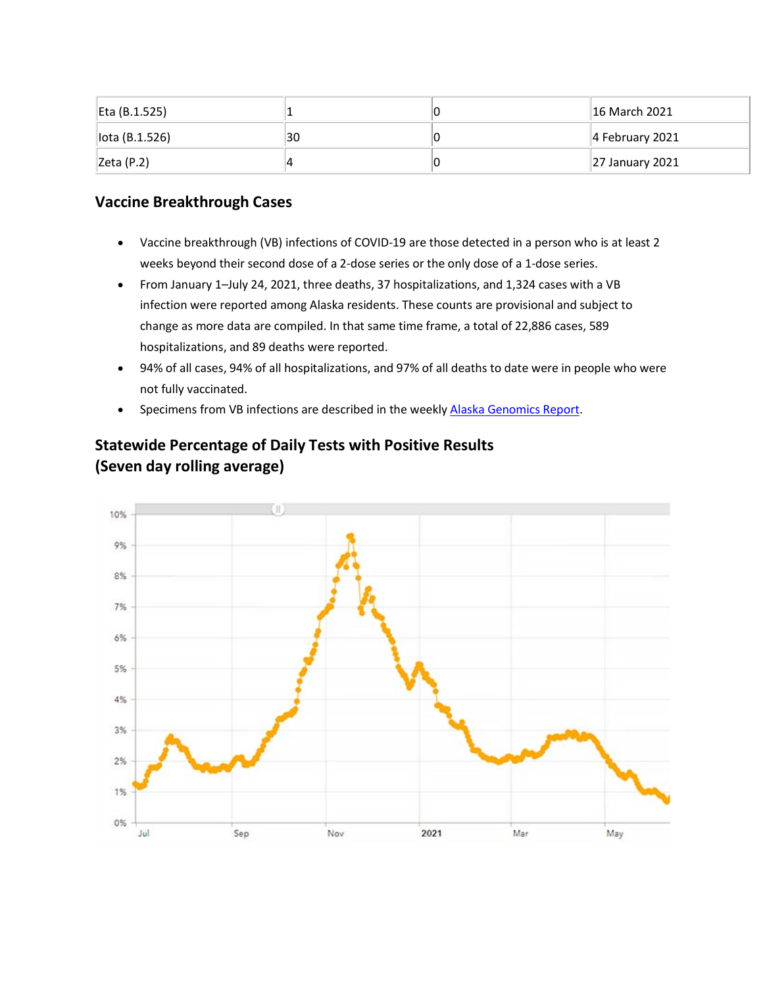| Eta (B.1.525)  |    | <b>16 March 2021</b> |
|----------------|----|----------------------|
| lota (B.1.526) | 30 | $ 4$ February 2021   |
| Zeta(P.2)      |    | 27 January 2021      |

### **Vaccine Breakthrough Cases**

- Vaccine breakthrough (VB) infections of COVID-19 are those detected in a person who is at least 2 weeks beyond their second dose of a 2-dose series or the only dose of a 1-dose series.
- From January 1–July 24, 2021, three deaths, 37 hospitalizations, and 1,324 cases with a VB infection were reported among Alaska residents. These counts are provisional and subject to change as more data are compiled. In that same time frame, a total of 22,886 cases, 589 hospitalizations, and 89 deaths were reported.
- 94% of all cases, 94% of all hospitalizations, and 97% of all deaths to date were in people who were not fully vaccinated.
- Specimens from VB infections are described in the weekl[y Alaska Genomics Report.](https://lnks.gd/l/eyJhbGciOiJIUzI1NiJ9.eyJidWxsZXRpbl9saW5rX2lkIjoxMDQsInVyaSI6ImJwMjpjbGljayIsImJ1bGxldGluX2lkIjoiMjAyMTA3MjguNDM4Mjc5OTEiLCJ1cmwiOiJodHRwOi8vZGhzcy5hbGFza2EuZ292L2RwaC9lcGkvaWQvc2l0ZWFzc2V0cy9wYWdlcy9IdW1hbkNvVi9BS1NlcUNvbl9HZW5vbWljU2l0dWF0aW9uUmVwb3J0LnBkZiJ9.ucWa2fgGoiYUUdkPBf1zOMC67KHkFGe148aC78bOo64/s/1125523096/br/110060109043-l)



# **Statewide Percentage of Daily Tests with Positive Results (Seven day rolling average)**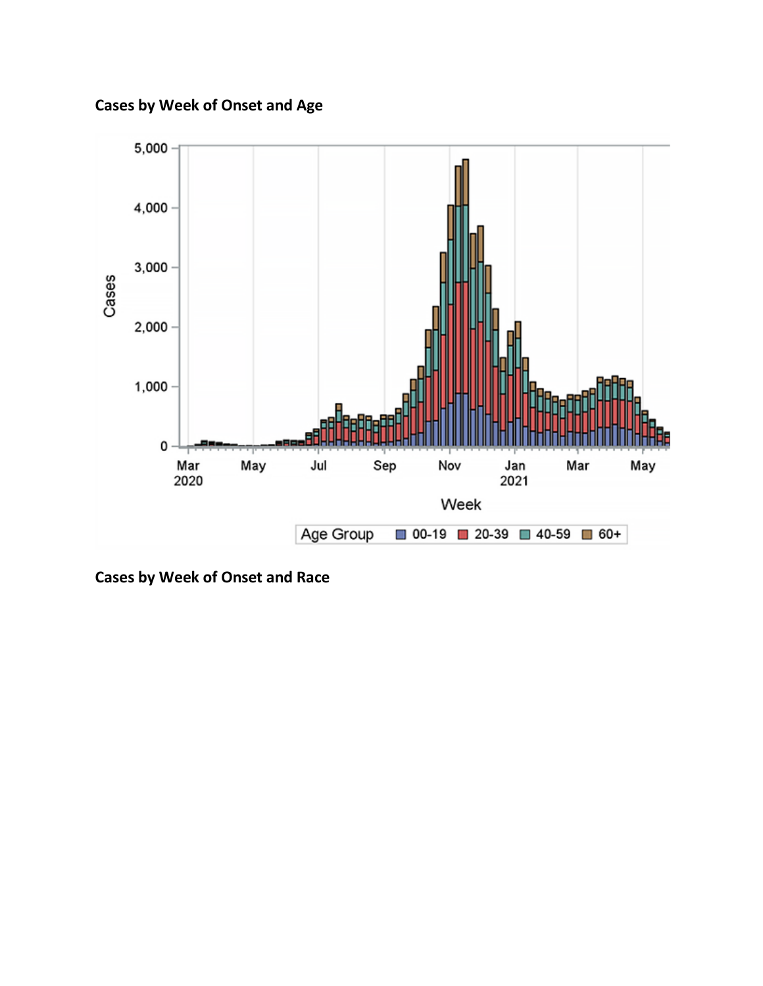**Cases by Week of Onset and Age**



**Cases by Week of Onset and Race**